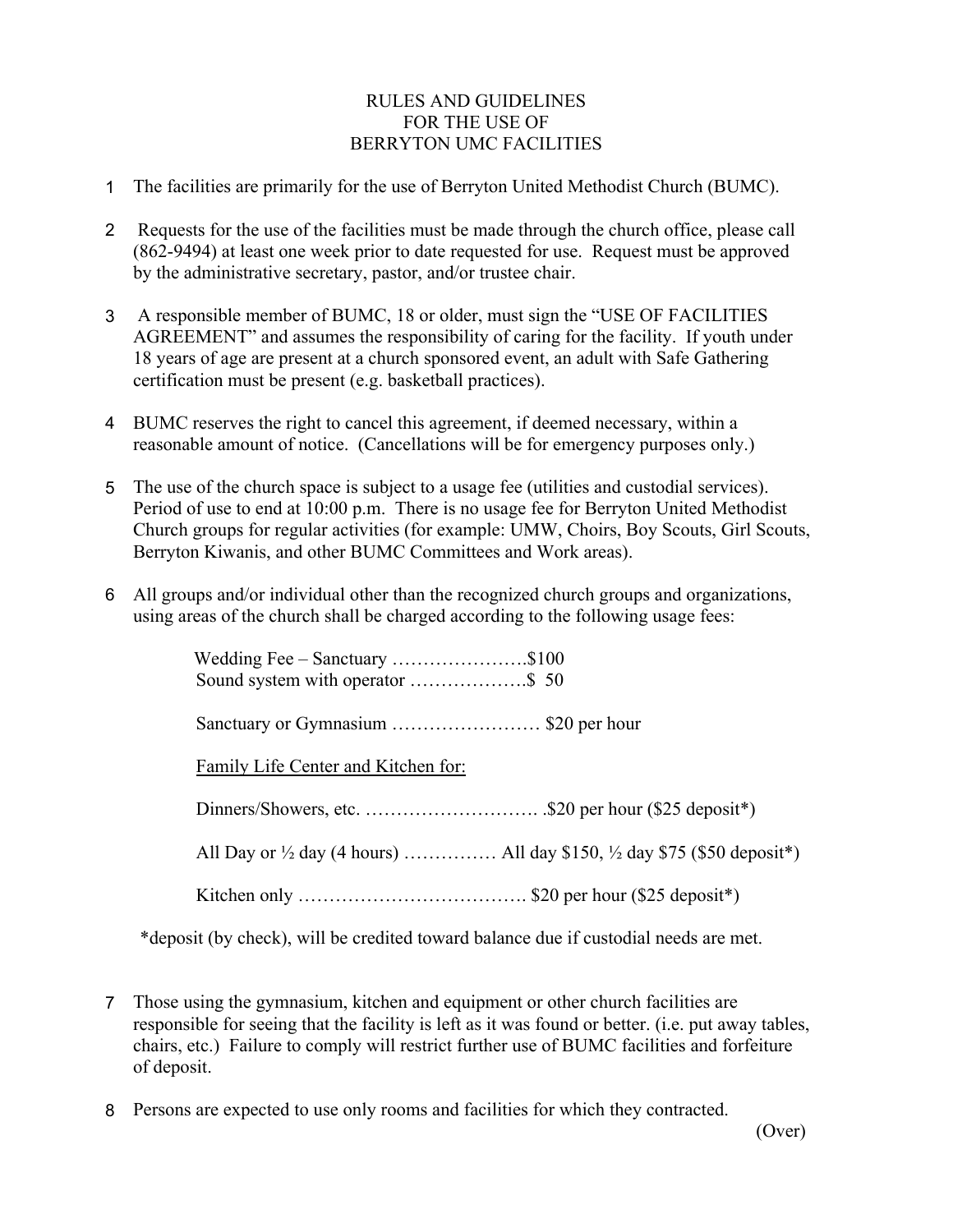## RULES AND GUIDELINES FOR THE USE OF BERRYTON UMC FACILITIES

- 1 The facilities are primarily for the use of Berryton United Methodist Church (BUMC).
- 2 Requests for the use of the facilities must be made through the church office, please call (862-9494) at least one week prior to date requested for use. Request must be approved by the administrative secretary, pastor, and/or trustee chair.
- 3 A responsible member of BUMC, 18 or older, must sign the "USE OF FACILITIES AGREEMENT" and assumes the responsibility of caring for the facility. If youth under 18 years of age are present at a church sponsored event, an adult with Safe Gathering certification must be present (e.g. basketball practices).
- 4 BUMC reserves the right to cancel this agreement, if deemed necessary, within a reasonable amount of notice. (Cancellations will be for emergency purposes only.)
- 5 The use of the church space is subject to a usage fee (utilities and custodial services). Period of use to end at 10:00 p.m. There is no usage fee for Berryton United Methodist Church groups for regular activities (for example: UMW, Choirs, Boy Scouts, Girl Scouts, Berryton Kiwanis, and other BUMC Committees and Work areas).
- 6 All groups and/or individual other than the recognized church groups and organizations, using areas of the church shall be charged according to the following usage fees:

| Wedding Fee $-$ Sanctuary \$100     |  |
|-------------------------------------|--|
|                                     |  |
| Family Life Center and Kitchen for: |  |
|                                     |  |
|                                     |  |
|                                     |  |

\*deposit (by check), will be credited toward balance due if custodial needs are met.

- 7 Those using the gymnasium, kitchen and equipment or other church facilities are responsible for seeing that the facility is left as it was found or better. (i.e. put away tables, chairs, etc.) Failure to comply will restrict further use of BUMC facilities and forfeiture of deposit.
- 8 Persons are expected to use only rooms and facilities for which they contracted.